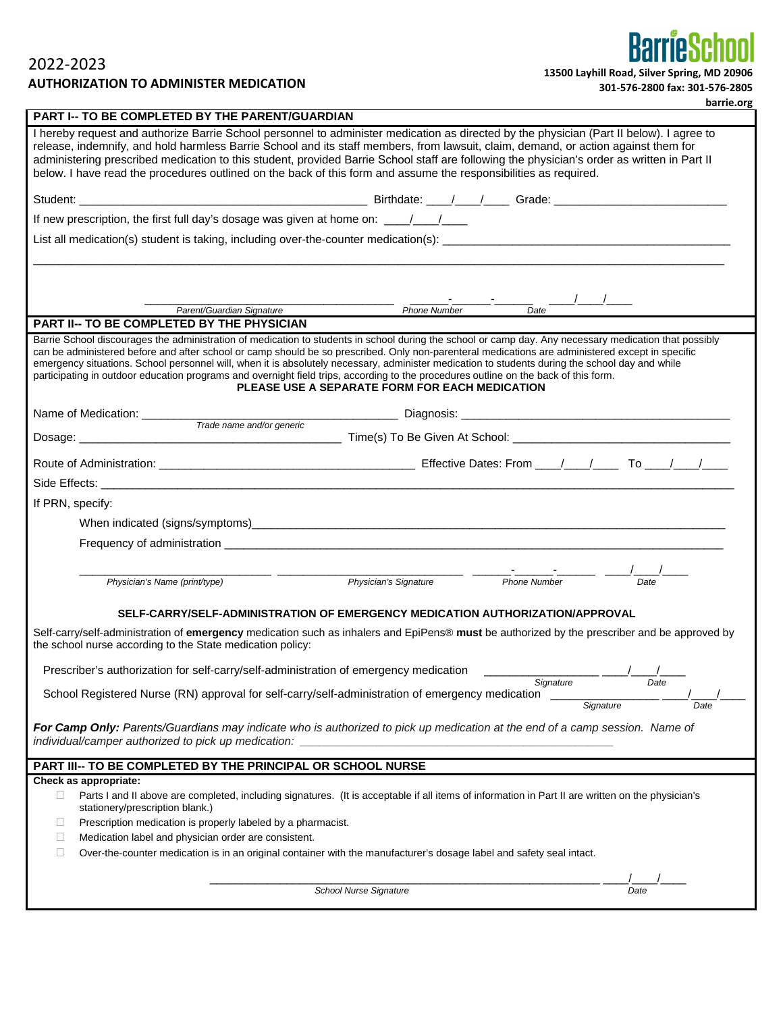2022-2023 **AUTHORIZATION TO ADMINISTER MEDICATION** 

| 301-576-2800 fax: 301-576-2805 |  |
|--------------------------------|--|
|--------------------------------|--|

**BarrieSchool** 

|                                                                                                                                                                                                                                | barrie.org                                                                                                                                                                                                                                                                                                                                                                                                                                                                                                                                                                                                                                              |
|--------------------------------------------------------------------------------------------------------------------------------------------------------------------------------------------------------------------------------|---------------------------------------------------------------------------------------------------------------------------------------------------------------------------------------------------------------------------------------------------------------------------------------------------------------------------------------------------------------------------------------------------------------------------------------------------------------------------------------------------------------------------------------------------------------------------------------------------------------------------------------------------------|
| PART I-- TO BE COMPLETED BY THE PARENT/GUARDIAN                                                                                                                                                                                |                                                                                                                                                                                                                                                                                                                                                                                                                                                                                                                                                                                                                                                         |
|                                                                                                                                                                                                                                | I hereby request and authorize Barrie School personnel to administer medication as directed by the physician (Part II below). I agree to<br>release, indemnify, and hold harmless Barrie School and its staff members, from lawsuit, claim, demand, or action against them for<br>administering prescribed medication to this student, provided Barrie School staff are following the physician's order as written in Part II<br>below. I have read the procedures outlined on the back of this form and assume the responsibilities as required.                                                                                                       |
|                                                                                                                                                                                                                                |                                                                                                                                                                                                                                                                                                                                                                                                                                                                                                                                                                                                                                                         |
| If new prescription, the first full day's dosage was given at home on: \\ \\equimm_{\dotsumptile new prescription, the first full day's dosage was given at home on:                                                           |                                                                                                                                                                                                                                                                                                                                                                                                                                                                                                                                                                                                                                                         |
|                                                                                                                                                                                                                                |                                                                                                                                                                                                                                                                                                                                                                                                                                                                                                                                                                                                                                                         |
|                                                                                                                                                                                                                                |                                                                                                                                                                                                                                                                                                                                                                                                                                                                                                                                                                                                                                                         |
|                                                                                                                                                                                                                                |                                                                                                                                                                                                                                                                                                                                                                                                                                                                                                                                                                                                                                                         |
| Parent/Guardian Signature                                                                                                                                                                                                      | <b>Phone Number</b><br>Date                                                                                                                                                                                                                                                                                                                                                                                                                                                                                                                                                                                                                             |
| <b>PART II-- TO BE COMPLETED BY THE PHYSICIAN</b>                                                                                                                                                                              |                                                                                                                                                                                                                                                                                                                                                                                                                                                                                                                                                                                                                                                         |
|                                                                                                                                                                                                                                | Barrie School discourages the administration of medication to students in school during the school or camp day. Any necessary medication that possibly<br>can be administered before and after school or camp should be so prescribed. Only non-parenteral medications are administered except in specific<br>emergency situations. School personnel will, when it is absolutely necessary, administer medication to students during the school day and while<br>participating in outdoor education programs and overnight field trips, according to the procedures outline on the back of this form.<br>PLEASE USE A SEPARATE FORM FOR EACH MEDICATION |
|                                                                                                                                                                                                                                |                                                                                                                                                                                                                                                                                                                                                                                                                                                                                                                                                                                                                                                         |
|                                                                                                                                                                                                                                |                                                                                                                                                                                                                                                                                                                                                                                                                                                                                                                                                                                                                                                         |
|                                                                                                                                                                                                                                |                                                                                                                                                                                                                                                                                                                                                                                                                                                                                                                                                                                                                                                         |
| Side Effects: All the state of the state of the state of the state of the state of the state of the state of the state of the state of the state of the state of the state of the state of the state of the state of the state |                                                                                                                                                                                                                                                                                                                                                                                                                                                                                                                                                                                                                                                         |
| If PRN, specify:                                                                                                                                                                                                               |                                                                                                                                                                                                                                                                                                                                                                                                                                                                                                                                                                                                                                                         |
|                                                                                                                                                                                                                                |                                                                                                                                                                                                                                                                                                                                                                                                                                                                                                                                                                                                                                                         |
|                                                                                                                                                                                                                                |                                                                                                                                                                                                                                                                                                                                                                                                                                                                                                                                                                                                                                                         |
|                                                                                                                                                                                                                                |                                                                                                                                                                                                                                                                                                                                                                                                                                                                                                                                                                                                                                                         |
| Physician's Name (print/type)                                                                                                                                                                                                  | Physician's Signature<br><b>Phone Number</b><br>Date                                                                                                                                                                                                                                                                                                                                                                                                                                                                                                                                                                                                    |
|                                                                                                                                                                                                                                |                                                                                                                                                                                                                                                                                                                                                                                                                                                                                                                                                                                                                                                         |
|                                                                                                                                                                                                                                | SELF-CARRY/SELF-ADMINISTRATION OF EMERGENCY MEDICATION AUTHORIZATION/APPROVAL                                                                                                                                                                                                                                                                                                                                                                                                                                                                                                                                                                           |
| the school nurse according to the State medication policy:                                                                                                                                                                     | Self-carry/self-administration of emergency medication such as inhalers and EpiPens® must be authorized by the prescriber and be approved by                                                                                                                                                                                                                                                                                                                                                                                                                                                                                                            |
| Prescriber's authorization for self-carry/self-administration of emergency medication                                                                                                                                          |                                                                                                                                                                                                                                                                                                                                                                                                                                                                                                                                                                                                                                                         |
| School Registered Nurse (RN) approval for self-carry/self-administration of emergency medication                                                                                                                               | Signature<br>Date<br>Signature<br>Date                                                                                                                                                                                                                                                                                                                                                                                                                                                                                                                                                                                                                  |
| individual/camper authorized to pick up medication:                                                                                                                                                                            | For Camp Only: Parents/Guardians may indicate who is authorized to pick up medication at the end of a camp session. Name of                                                                                                                                                                                                                                                                                                                                                                                                                                                                                                                             |
| PART III-- TO BE COMPLETED BY THE PRINCIPAL OR SCHOOL NURSE                                                                                                                                                                    |                                                                                                                                                                                                                                                                                                                                                                                                                                                                                                                                                                                                                                                         |
| Check as appropriate:                                                                                                                                                                                                          |                                                                                                                                                                                                                                                                                                                                                                                                                                                                                                                                                                                                                                                         |
| □<br>stationery/prescription blank.)                                                                                                                                                                                           | Parts I and II above are completed, including signatures. (It is acceptable if all items of information in Part II are written on the physician's                                                                                                                                                                                                                                                                                                                                                                                                                                                                                                       |
| Prescription medication is properly labeled by a pharmacist.<br>ш                                                                                                                                                              |                                                                                                                                                                                                                                                                                                                                                                                                                                                                                                                                                                                                                                                         |
| Medication label and physician order are consistent.<br>Ш<br>Ш                                                                                                                                                                 | Over-the-counter medication is in an original container with the manufacturer's dosage label and safety seal intact.                                                                                                                                                                                                                                                                                                                                                                                                                                                                                                                                    |
|                                                                                                                                                                                                                                |                                                                                                                                                                                                                                                                                                                                                                                                                                                                                                                                                                                                                                                         |
|                                                                                                                                                                                                                                |                                                                                                                                                                                                                                                                                                                                                                                                                                                                                                                                                                                                                                                         |
|                                                                                                                                                                                                                                | <b>School Nurse Signature</b><br>Date                                                                                                                                                                                                                                                                                                                                                                                                                                                                                                                                                                                                                   |